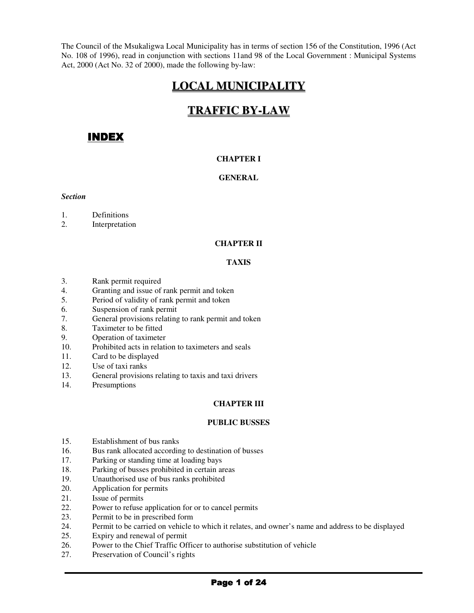The Council of the Msukaligwa Local Municipality has in terms of section 156 of the Constitution, 1996 (Act No. 108 of 1996), read in conjunction with sections 11and 98 of the Local Government : Municipal Systems Act, 2000 (Act No. 32 of 2000), made the following by-law:

# **LOCAL MUNICIPALITY**

# **TRAFFIC BY-LAW**

# **INDEX**

## **CHAPTER I**

## **GENERAL**

#### *Section*

- 1. Definitions
- 2. Interpretation

## **CHAPTER II**

### **TAXIS**

- 3. Rank permit required
- 4. Granting and issue of rank permit and token
- 5. Period of validity of rank permit and token
- 6. Suspension of rank permit
- 7. General provisions relating to rank permit and token
- 8. Taximeter to be fitted
- 9. Operation of taximeter
- 10. Prohibited acts in relation to taximeters and seals
- 11. Card to be displayed
- 12. Use of taxi ranks
- 13. General provisions relating to taxis and taxi drivers
- 14. Presumptions

### **CHAPTER III**

### **PUBLIC BUSSES**

- 15. Establishment of bus ranks
- 16. Bus rank allocated according to destination of busses
- 17. Parking or standing time at loading bays
- 18. Parking of busses prohibited in certain areas
- 19. Unauthorised use of bus ranks prohibited
- 20. Application for permits<br>21. Issue of permits
- Issue of permits
- 22. Power to refuse application for or to cancel permits
- 23. Permit to be in prescribed form
- 24. Permit to be carried on vehicle to which it relates, and owner's name and address to be displayed
- 25. Expiry and renewal of permit
- 26. Power to the Chief Traffic Officer to authorise substitution of vehicle
- 27. Preservation of Council's rights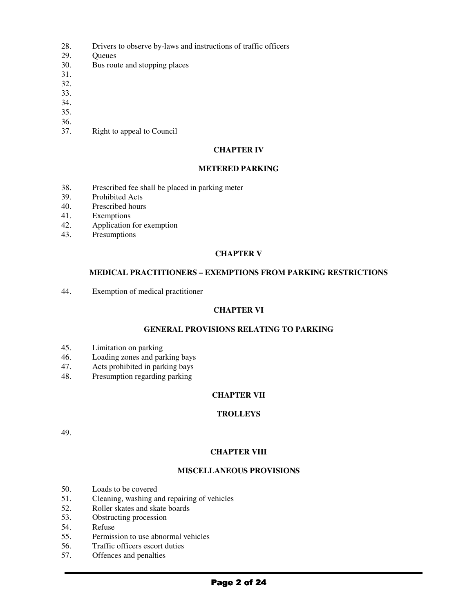- 28. Drivers to observe by-laws and instructions of traffic officers
- 29. Queues
- 30. Bus route and stopping places
- 31.
- 32.
- 33.
- 34.
- 35.
- 36.
- 37. Right to appeal to Council

#### **CHAPTER IV**

#### **METERED PARKING**

- 38. Prescribed fee shall be placed in parking meter
- 39. Prohibited Acts
- 40. Prescribed hours
- 41. Exemptions
- 42. Application for exemption
- 43. Presumptions

### **CHAPTER V**

#### **MEDICAL PRACTITIONERS – EXEMPTIONS FROM PARKING RESTRICTIONS**

44. Exemption of medical practitioner

## **CHAPTER VI**

### **GENERAL PROVISIONS RELATING TO PARKING**

- 45. Limitation on parking<br>46. Loading zones and par
- 46. Loading zones and parking bays<br>47. Acts prohibited in parking bays
- Acts prohibited in parking bays
- 48. Presumption regarding parking

### **CHAPTER VII**

## **TROLLEYS**

49.

### **CHAPTER VIII**

## **MISCELLANEOUS PROVISIONS**

- 50. Loads to be covered
- 51. Cleaning, washing and repairing of vehicles
- 52. Roller skates and skate boards
- 53. Obstructing procession
- 54. Refuse
- 55. Permission to use abnormal vehicles
- 56. Traffic officers escort duties
- 57. Offences and penalties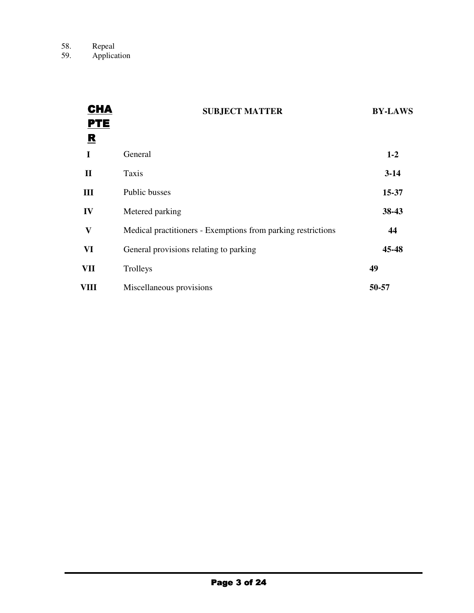| <b>CHA</b><br><b>PTE</b> | <b>SUBJECT MATTER</b>                                        | <b>BY-LAWS</b> |
|--------------------------|--------------------------------------------------------------|----------------|
| R<br>I                   | General                                                      | $1 - 2$        |
| П                        | Taxis                                                        | $3-14$         |
| III                      | Public busses                                                | 15-37          |
| IV                       | Metered parking                                              | 38-43          |
| $\mathbf{V}$             | Medical practitioners - Exemptions from parking restrictions | 44             |
| VI                       | General provisions relating to parking                       | 45-48          |
| VII                      | Trolleys                                                     | 49             |
| VIII                     | Miscellaneous provisions                                     | 50-57          |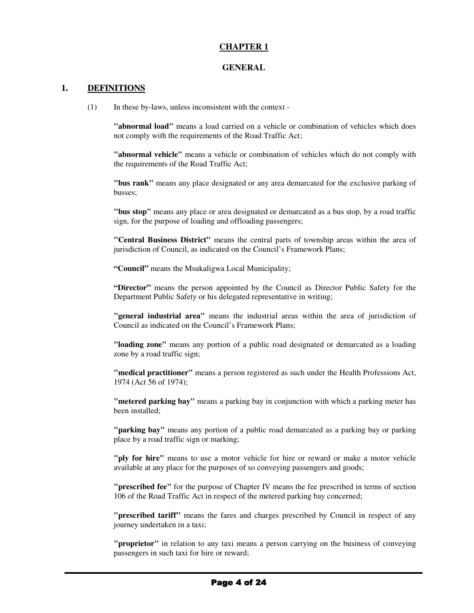## **CHAPTER 1**

#### **GENERAL**

#### **1. DEFINITIONS**

(1) In these by-laws, unless inconsistent with the context -

**"abnormal load"** means a load carried on a vehicle or combination of vehicles which does not comply with the requirements of the Road Traffic Act;

**"abnormal vehicle"** means a vehicle or combination of vehicles which do not comply with the requirements of the Road Traffic Act;

**"bus rank"** means any place designated or any area demarcated for the exclusive parking of busses;

**"bus stop"** means any place or area designated or demarcated as a bus stop, by a road traffic sign, for the purpose of loading and offloading passengers;

**"Central Business District"** means the central parts of township areas within the area of jurisdiction of Council, as indicated on the Council's Framework Plans;

**"Council"** means the Msukaligwa Local Municipality;

**"Director"** means the person appointed by the Council as Director Public Safety for the Department Public Safety or his delegated representative in writing;

**"general industrial area"** means the industrial areas within the area of jurisdiction of Council as indicated on the Council's Framework Plans;

**"loading zone"** means any portion of a public road designated or demarcated as a loading zone by a road traffic sign;

**"medical practitioner"** means a person registered as such under the Health Professions Act, 1974 (Act 56 of 1974);

**"metered parking bay"** means a parking bay in conjunction with which a parking meter has been installed;

**"parking bay"** means any portion of a public road demarcated as a parking bay or parking place by a road traffic sign or marking;

**"ply for hire"** means to use a motor vehicle for hire or reward or make a motor vehicle available at any place for the purposes of so conveying passengers and goods;

**"prescribed fee"** for the purpose of Chapter IV means the fee prescribed in terms of section 106 of the Road Traffic Act in respect of the metered parking bay concerned;

**"prescribed tariff"** means the fares and charges prescribed by Council in respect of any journey undertaken in a taxi;

**"proprietor"** in relation to any taxi means a person carrying on the business of conveying passengers in such taxi for hire or reward;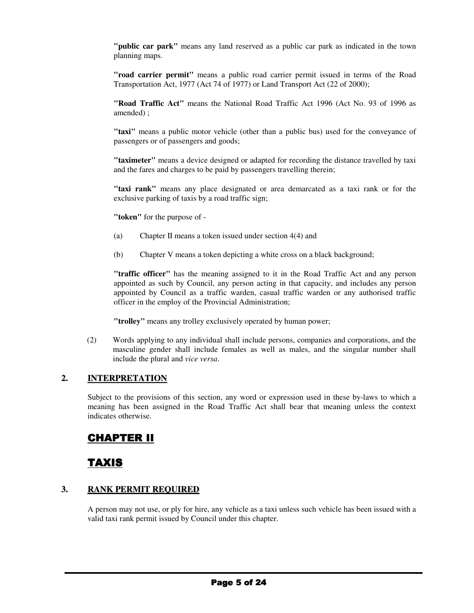**"public car park"** means any land reserved as a public car park as indicated in the town planning maps.

**"road carrier permit"** means a public road carrier permit issued in terms of the Road Transportation Act, 1977 (Act 74 of 1977) or Land Transport Act (22 of 2000);

**"Road Traffic Act"** means the National Road Traffic Act 1996 (Act No. 93 of 1996 as amended) ;

**"taxi"** means a public motor vehicle (other than a public bus) used for the conveyance of passengers or of passengers and goods;

**"taximeter"** means a device designed or adapted for recording the distance travelled by taxi and the fares and charges to be paid by passengers travelling therein;

**"taxi rank"** means any place designated or area demarcated as a taxi rank or for the exclusive parking of taxis by a road traffic sign;

**"token"** for the purpose of -

- (a) Chapter II means a token issued under section 4(4) and
- (b) Chapter V means a token depicting a white cross on a black background;

**"traffic officer"** has the meaning assigned to it in the Road Traffic Act and any person appointed as such by Council, any person acting in that capacity, and includes any person appointed by Council as a traffic warden, casual traffic warden or any authorised traffic officer in the employ of the Provincial Administration;

**"trolley"** means any trolley exclusively operated by human power;

(2) Words applying to any individual shall include persons, companies and corporations, and the masculine gender shall include females as well as males, and the singular number shall include the plural and *vice versa*.

#### **2. INTERPRETATION**

Subject to the provisions of this section, any word or expression used in these by-laws to which a meaning has been assigned in the Road Traffic Act shall bear that meaning unless the context indicates otherwise.

# **CHAPTER II**

# **TAXIS**

## **3. RANK PERMIT REQUIRED**

A person may not use, or ply for hire, any vehicle as a taxi unless such vehicle has been issued with a valid taxi rank permit issued by Council under this chapter.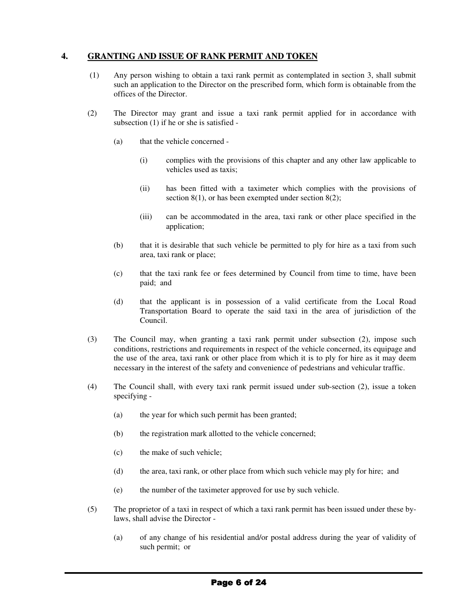## **4. GRANTING AND ISSUE OF RANK PERMIT AND TOKEN**

- (1) Any person wishing to obtain a taxi rank permit as contemplated in section 3, shall submit such an application to the Director on the prescribed form, which form is obtainable from the offices of the Director.
- (2) The Director may grant and issue a taxi rank permit applied for in accordance with subsection (1) if he or she is satisfied -
	- (a) that the vehicle concerned
		- (i) complies with the provisions of this chapter and any other law applicable to vehicles used as taxis;
		- (ii) has been fitted with a taximeter which complies with the provisions of section  $8(1)$ , or has been exempted under section  $8(2)$ ;
		- (iii) can be accommodated in the area, taxi rank or other place specified in the application;
	- (b) that it is desirable that such vehicle be permitted to ply for hire as a taxi from such area, taxi rank or place;
	- (c) that the taxi rank fee or fees determined by Council from time to time, have been paid; and
	- (d) that the applicant is in possession of a valid certificate from the Local Road Transportation Board to operate the said taxi in the area of jurisdiction of the Council.
- (3) The Council may, when granting a taxi rank permit under subsection (2), impose such conditions, restrictions and requirements in respect of the vehicle concerned, its equipage and the use of the area, taxi rank or other place from which it is to ply for hire as it may deem necessary in the interest of the safety and convenience of pedestrians and vehicular traffic.
- (4) The Council shall, with every taxi rank permit issued under sub-section (2), issue a token specifying -
	- (a) the year for which such permit has been granted;
	- (b) the registration mark allotted to the vehicle concerned;
	- (c) the make of such vehicle;
	- (d) the area, taxi rank, or other place from which such vehicle may ply for hire; and
	- (e) the number of the taximeter approved for use by such vehicle.
- (5) The proprietor of a taxi in respect of which a taxi rank permit has been issued under these bylaws, shall advise the Director -
	- (a) of any change of his residential and/or postal address during the year of validity of such permit; or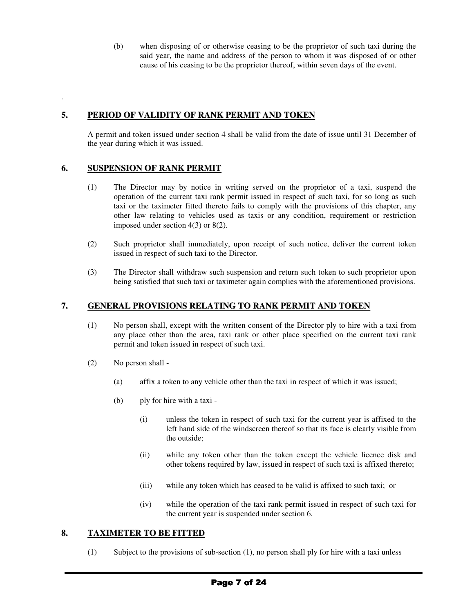(b) when disposing of or otherwise ceasing to be the proprietor of such taxi during the said year, the name and address of the person to whom it was disposed of or other cause of his ceasing to be the proprietor thereof, within seven days of the event.

## **5. PERIOD OF VALIDITY OF RANK PERMIT AND TOKEN**

A permit and token issued under section 4 shall be valid from the date of issue until 31 December of the year during which it was issued.

## **6. SUSPENSION OF RANK PERMIT**

.

- (1) The Director may by notice in writing served on the proprietor of a taxi, suspend the operation of the current taxi rank permit issued in respect of such taxi, for so long as such taxi or the taximeter fitted thereto fails to comply with the provisions of this chapter, any other law relating to vehicles used as taxis or any condition, requirement or restriction imposed under section 4(3) or 8(2).
- (2) Such proprietor shall immediately, upon receipt of such notice, deliver the current token issued in respect of such taxi to the Director.
- (3) The Director shall withdraw such suspension and return such token to such proprietor upon being satisfied that such taxi or taximeter again complies with the aforementioned provisions.

## **7. GENERAL PROVISIONS RELATING TO RANK PERMIT AND TOKEN**

- (1) No person shall, except with the written consent of the Director ply to hire with a taxi from any place other than the area, taxi rank or other place specified on the current taxi rank permit and token issued in respect of such taxi.
- (2) No person shall
	- (a) affix a token to any vehicle other than the taxi in respect of which it was issued;
	- (b) ply for hire with a taxi
		- (i) unless the token in respect of such taxi for the current year is affixed to the left hand side of the windscreen thereof so that its face is clearly visible from the outside;
		- (ii) while any token other than the token except the vehicle licence disk and other tokens required by law, issued in respect of such taxi is affixed thereto;
		- (iii) while any token which has ceased to be valid is affixed to such taxi; or
		- (iv) while the operation of the taxi rank permit issued in respect of such taxi for the current year is suspended under section 6.

### **8. TAXIMETER TO BE FITTED**

(1) Subject to the provisions of sub-section (1), no person shall ply for hire with a taxi unless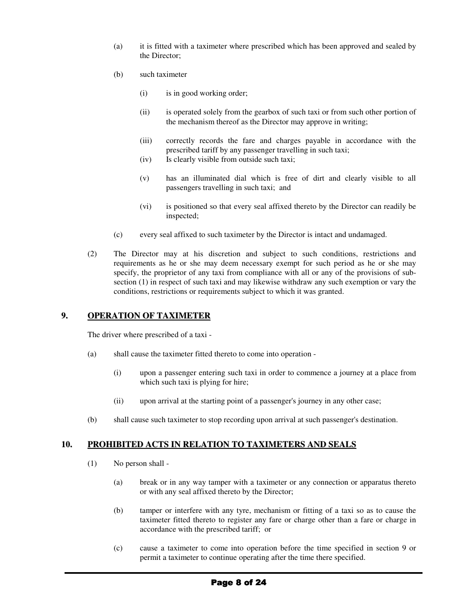- (a) it is fitted with a taximeter where prescribed which has been approved and sealed by the Director;
- (b) such taximeter
	- (i) is in good working order;
	- (ii) is operated solely from the gearbox of such taxi or from such other portion of the mechanism thereof as the Director may approve in writing;
	- (iii) correctly records the fare and charges payable in accordance with the prescribed tariff by any passenger travelling in such taxi;
	- (iv) Is clearly visible from outside such taxi;
	- (v) has an illuminated dial which is free of dirt and clearly visible to all passengers travelling in such taxi; and
	- (vi) is positioned so that every seal affixed thereto by the Director can readily be inspected;
- (c) every seal affixed to such taximeter by the Director is intact and undamaged.
- (2) The Director may at his discretion and subject to such conditions, restrictions and requirements as he or she may deem necessary exempt for such period as he or she may specify, the proprietor of any taxi from compliance with all or any of the provisions of subsection (1) in respect of such taxi and may likewise withdraw any such exemption or vary the conditions, restrictions or requirements subject to which it was granted.

## **9. OPERATION OF TAXIMETER**

The driver where prescribed of a taxi -

- (a) shall cause the taximeter fitted thereto to come into operation
	- (i) upon a passenger entering such taxi in order to commence a journey at a place from which such taxi is plying for hire;
	- (ii) upon arrival at the starting point of a passenger's journey in any other case;
- (b) shall cause such taximeter to stop recording upon arrival at such passenger's destination.

## **10. PROHIBITED ACTS IN RELATION TO TAXIMETERS AND SEALS**

- (1) No person shall
	- (a) break or in any way tamper with a taximeter or any connection or apparatus thereto or with any seal affixed thereto by the Director;
	- (b) tamper or interfere with any tyre, mechanism or fitting of a taxi so as to cause the taximeter fitted thereto to register any fare or charge other than a fare or charge in accordance with the prescribed tariff; or
	- (c) cause a taximeter to come into operation before the time specified in section 9 or permit a taximeter to continue operating after the time there specified.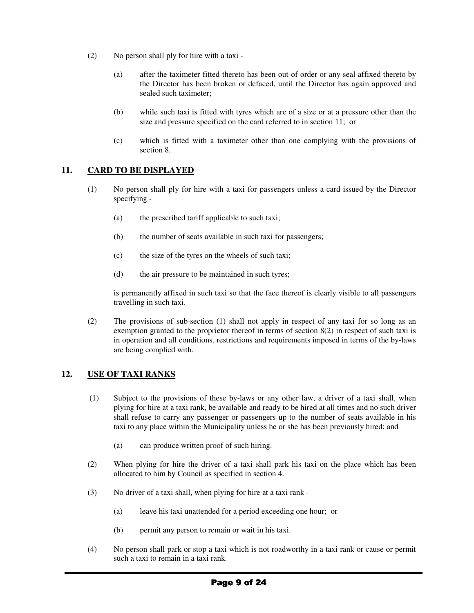- (2) No person shall ply for hire with a taxi
	- (a) after the taximeter fitted thereto has been out of order or any seal affixed thereto by the Director has been broken or defaced, until the Director has again approved and sealed such taximeter;
	- (b) while such taxi is fitted with tyres which are of a size or at a pressure other than the size and pressure specified on the card referred to in section 11; or
	- (c) which is fitted with a taximeter other than one complying with the provisions of section 8.

## **11. CARD TO BE DISPLAYED**

- (1) No person shall ply for hire with a taxi for passengers unless a card issued by the Director specifying -
	- (a) the prescribed tariff applicable to such taxi;
	- (b) the number of seats available in such taxi for passengers;
	- (c) the size of the tyres on the wheels of such taxi;
	- (d) the air pressure to be maintained in such tyres;

is permanently affixed in such taxi so that the face thereof is clearly visible to all passengers travelling in such taxi.

(2) The provisions of sub-section (1) shall not apply in respect of any taxi for so long as an exemption granted to the proprietor thereof in terms of section 8(2) in respect of such taxi is in operation and all conditions, restrictions and requirements imposed in terms of the by-laws are being complied with.

## **12. USE OF TAXI RANKS**

- (1) Subject to the provisions of these by-laws or any other law, a driver of a taxi shall, when plying for hire at a taxi rank, be available and ready to be hired at all times and no such driver shall refuse to carry any passenger or passengers up to the number of seats available in his taxi to any place within the Municipality unless he or she has been previously hired; and
	- (a) can produce written proof of such hiring.
- (2) When plying for hire the driver of a taxi shall park his taxi on the place which has been allocated to him by Council as specified in section 4.
- (3) No driver of a taxi shall, when plying for hire at a taxi rank
	- (a) leave his taxi unattended for a period exceeding one hour; or
	- (b) permit any person to remain or wait in his taxi.
- (4) No person shall park or stop a taxi which is not roadworthy in a taxi rank or cause or permit such a taxi to remain in a taxi rank.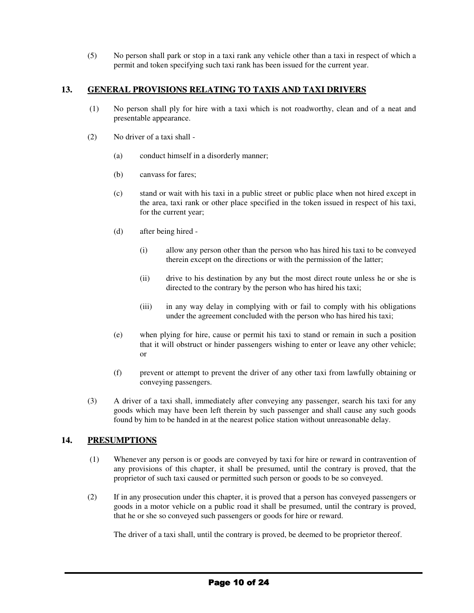(5) No person shall park or stop in a taxi rank any vehicle other than a taxi in respect of which a permit and token specifying such taxi rank has been issued for the current year.

## **13. GENERAL PROVISIONS RELATING TO TAXIS AND TAXI DRIVERS**

- (1) No person shall ply for hire with a taxi which is not roadworthy, clean and of a neat and presentable appearance.
- (2) No driver of a taxi shall
	- (a) conduct himself in a disorderly manner;
	- (b) canvass for fares;
	- (c) stand or wait with his taxi in a public street or public place when not hired except in the area, taxi rank or other place specified in the token issued in respect of his taxi, for the current year;
	- (d) after being hired
		- (i) allow any person other than the person who has hired his taxi to be conveyed therein except on the directions or with the permission of the latter;
		- (ii) drive to his destination by any but the most direct route unless he or she is directed to the contrary by the person who has hired his taxi;
		- (iii) in any way delay in complying with or fail to comply with his obligations under the agreement concluded with the person who has hired his taxi;
	- (e) when plying for hire, cause or permit his taxi to stand or remain in such a position that it will obstruct or hinder passengers wishing to enter or leave any other vehicle; or
	- (f) prevent or attempt to prevent the driver of any other taxi from lawfully obtaining or conveying passengers.
- (3) A driver of a taxi shall, immediately after conveying any passenger, search his taxi for any goods which may have been left therein by such passenger and shall cause any such goods found by him to be handed in at the nearest police station without unreasonable delay.

## **14. PRESUMPTIONS**

- (1) Whenever any person is or goods are conveyed by taxi for hire or reward in contravention of any provisions of this chapter, it shall be presumed, until the contrary is proved, that the proprietor of such taxi caused or permitted such person or goods to be so conveyed.
- (2) If in any prosecution under this chapter, it is proved that a person has conveyed passengers or goods in a motor vehicle on a public road it shall be presumed, until the contrary is proved, that he or she so conveyed such passengers or goods for hire or reward.

The driver of a taxi shall, until the contrary is proved, be deemed to be proprietor thereof.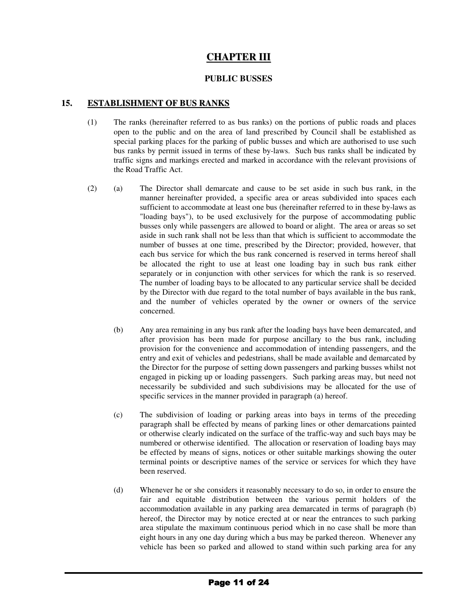# **CHAPTER III**

## **PUBLIC BUSSES**

## **15. ESTABLISHMENT OF BUS RANKS**

- (1) The ranks (hereinafter referred to as bus ranks) on the portions of public roads and places open to the public and on the area of land prescribed by Council shall be established as special parking places for the parking of public busses and which are authorised to use such bus ranks by permit issued in terms of these by-laws. Such bus ranks shall be indicated by traffic signs and markings erected and marked in accordance with the relevant provisions of the Road Traffic Act.
- (2) (a) The Director shall demarcate and cause to be set aside in such bus rank, in the manner hereinafter provided, a specific area or areas subdivided into spaces each sufficient to accommodate at least one bus (hereinafter referred to in these by-laws as "loading bays"), to be used exclusively for the purpose of accommodating public busses only while passengers are allowed to board or alight. The area or areas so set aside in such rank shall not be less than that which is sufficient to accommodate the number of busses at one time, prescribed by the Director; provided, however, that each bus service for which the bus rank concerned is reserved in terms hereof shall be allocated the right to use at least one loading bay in such bus rank either separately or in conjunction with other services for which the rank is so reserved. The number of loading bays to be allocated to any particular service shall be decided by the Director with due regard to the total number of bays available in the bus rank, and the number of vehicles operated by the owner or owners of the service concerned.
	- (b) Any area remaining in any bus rank after the loading bays have been demarcated, and after provision has been made for purpose ancillary to the bus rank, including provision for the convenience and accommodation of intending passengers, and the entry and exit of vehicles and pedestrians, shall be made available and demarcated by the Director for the purpose of setting down passengers and parking busses whilst not engaged in picking up or loading passengers. Such parking areas may, but need not necessarily be subdivided and such subdivisions may be allocated for the use of specific services in the manner provided in paragraph (a) hereof.
	- (c) The subdivision of loading or parking areas into bays in terms of the preceding paragraph shall be effected by means of parking lines or other demarcations painted or otherwise clearly indicated on the surface of the traffic-way and such bays may be numbered or otherwise identified. The allocation or reservation of loading bays may be effected by means of signs, notices or other suitable markings showing the outer terminal points or descriptive names of the service or services for which they have been reserved.
	- (d) Whenever he or she considers it reasonably necessary to do so, in order to ensure the fair and equitable distribution between the various permit holders of the accommodation available in any parking area demarcated in terms of paragraph (b) hereof, the Director may by notice erected at or near the entrances to such parking area stipulate the maximum continuous period which in no case shall be more than eight hours in any one day during which a bus may be parked thereon. Whenever any vehicle has been so parked and allowed to stand within such parking area for any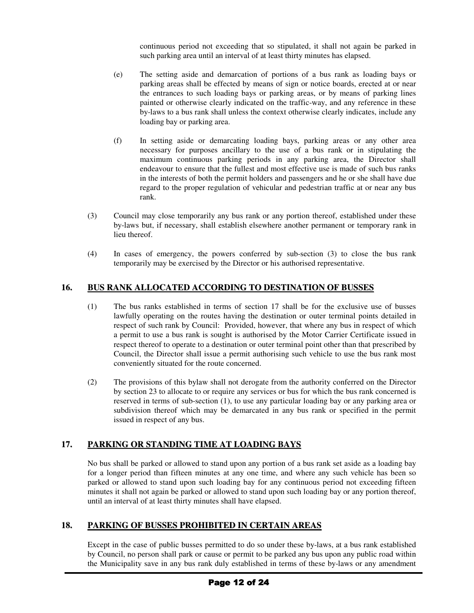continuous period not exceeding that so stipulated, it shall not again be parked in such parking area until an interval of at least thirty minutes has elapsed.

- (e) The setting aside and demarcation of portions of a bus rank as loading bays or parking areas shall be effected by means of sign or notice boards, erected at or near the entrances to such loading bays or parking areas, or by means of parking lines painted or otherwise clearly indicated on the traffic-way, and any reference in these by-laws to a bus rank shall unless the context otherwise clearly indicates, include any loading bay or parking area.
- (f) In setting aside or demarcating loading bays, parking areas or any other area necessary for purposes ancillary to the use of a bus rank or in stipulating the maximum continuous parking periods in any parking area, the Director shall endeavour to ensure that the fullest and most effective use is made of such bus ranks in the interests of both the permit holders and passengers and he or she shall have due regard to the proper regulation of vehicular and pedestrian traffic at or near any bus rank.
- (3) Council may close temporarily any bus rank or any portion thereof, established under these by-laws but, if necessary, shall establish elsewhere another permanent or temporary rank in lieu thereof.
- (4) In cases of emergency, the powers conferred by sub-section (3) to close the bus rank temporarily may be exercised by the Director or his authorised representative.

## **16. BUS RANK ALLOCATED ACCORDING TO DESTINATION OF BUSSES**

- (1) The bus ranks established in terms of section 17 shall be for the exclusive use of busses lawfully operating on the routes having the destination or outer terminal points detailed in respect of such rank by Council: Provided, however, that where any bus in respect of which a permit to use a bus rank is sought is authorised by the Motor Carrier Certificate issued in respect thereof to operate to a destination or outer terminal point other than that prescribed by Council, the Director shall issue a permit authorising such vehicle to use the bus rank most conveniently situated for the route concerned.
- (2) The provisions of this bylaw shall not derogate from the authority conferred on the Director by section 23 to allocate to or require any services or bus for which the bus rank concerned is reserved in terms of sub-section (1), to use any particular loading bay or any parking area or subdivision thereof which may be demarcated in any bus rank or specified in the permit issued in respect of any bus.

# **17. PARKING OR STANDING TIME AT LOADING BAYS**

No bus shall be parked or allowed to stand upon any portion of a bus rank set aside as a loading bay for a longer period than fifteen minutes at any one time, and where any such vehicle has been so parked or allowed to stand upon such loading bay for any continuous period not exceeding fifteen minutes it shall not again be parked or allowed to stand upon such loading bay or any portion thereof, until an interval of at least thirty minutes shall have elapsed.

# **18. PARKING OF BUSSES PROHIBITED IN CERTAIN AREAS**

Except in the case of public busses permitted to do so under these by-laws, at a bus rank established by Council, no person shall park or cause or permit to be parked any bus upon any public road within the Municipality save in any bus rank duly established in terms of these by-laws or any amendment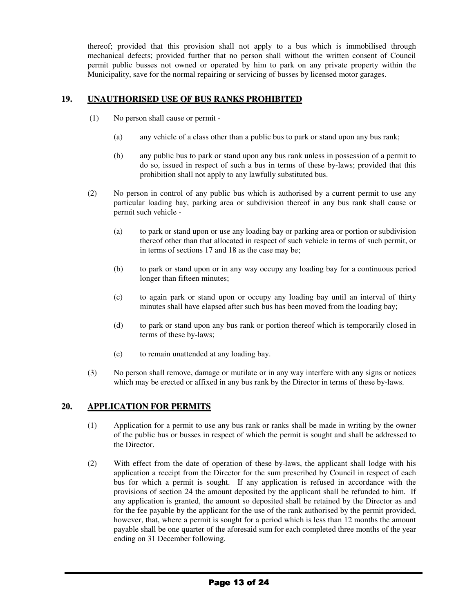thereof; provided that this provision shall not apply to a bus which is immobilised through mechanical defects; provided further that no person shall without the written consent of Council permit public busses not owned or operated by him to park on any private property within the Municipality, save for the normal repairing or servicing of busses by licensed motor garages.

## **19. UNAUTHORISED USE OF BUS RANKS PROHIBITED**

- (1) No person shall cause or permit
	- (a) any vehicle of a class other than a public bus to park or stand upon any bus rank;
	- (b) any public bus to park or stand upon any bus rank unless in possession of a permit to do so, issued in respect of such a bus in terms of these by-laws; provided that this prohibition shall not apply to any lawfully substituted bus.
- (2) No person in control of any public bus which is authorised by a current permit to use any particular loading bay, parking area or subdivision thereof in any bus rank shall cause or permit such vehicle -
	- (a) to park or stand upon or use any loading bay or parking area or portion or subdivision thereof other than that allocated in respect of such vehicle in terms of such permit, or in terms of sections 17 and 18 as the case may be;
	- (b) to park or stand upon or in any way occupy any loading bay for a continuous period longer than fifteen minutes;
	- (c) to again park or stand upon or occupy any loading bay until an interval of thirty minutes shall have elapsed after such bus has been moved from the loading bay;
	- (d) to park or stand upon any bus rank or portion thereof which is temporarily closed in terms of these by-laws;
	- (e) to remain unattended at any loading bay.
- (3) No person shall remove, damage or mutilate or in any way interfere with any signs or notices which may be erected or affixed in any bus rank by the Director in terms of these by-laws.

## **20. APPLICATION FOR PERMITS**

- (1) Application for a permit to use any bus rank or ranks shall be made in writing by the owner of the public bus or busses in respect of which the permit is sought and shall be addressed to the Director.
- (2) With effect from the date of operation of these by-laws, the applicant shall lodge with his application a receipt from the Director for the sum prescribed by Council in respect of each bus for which a permit is sought. If any application is refused in accordance with the provisions of section 24 the amount deposited by the applicant shall be refunded to him. If any application is granted, the amount so deposited shall be retained by the Director as and for the fee payable by the applicant for the use of the rank authorised by the permit provided, however, that, where a permit is sought for a period which is less than 12 months the amount payable shall be one quarter of the aforesaid sum for each completed three months of the year ending on 31 December following.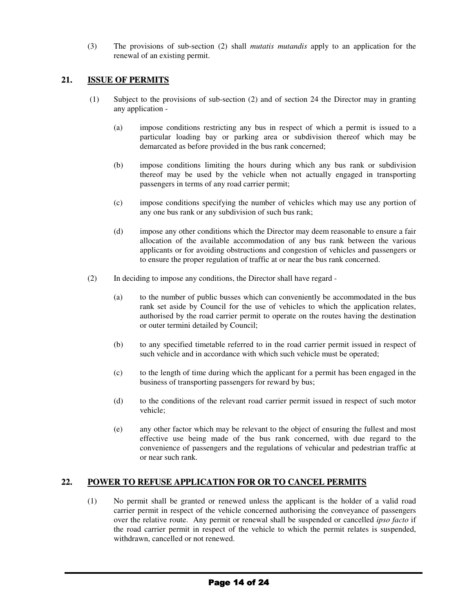(3) The provisions of sub-section (2) shall *mutatis mutandis* apply to an application for the renewal of an existing permit.

## **21. ISSUE OF PERMITS**

- (1) Subject to the provisions of sub-section (2) and of section 24 the Director may in granting any application -
	- (a) impose conditions restricting any bus in respect of which a permit is issued to a particular loading bay or parking area or subdivision thereof which may be demarcated as before provided in the bus rank concerned;
	- (b) impose conditions limiting the hours during which any bus rank or subdivision thereof may be used by the vehicle when not actually engaged in transporting passengers in terms of any road carrier permit;
	- (c) impose conditions specifying the number of vehicles which may use any portion of any one bus rank or any subdivision of such bus rank;
	- (d) impose any other conditions which the Director may deem reasonable to ensure a fair allocation of the available accommodation of any bus rank between the various applicants or for avoiding obstructions and congestion of vehicles and passengers or to ensure the proper regulation of traffic at or near the bus rank concerned.
- (2) In deciding to impose any conditions, the Director shall have regard
	- (a) to the number of public busses which can conveniently be accommodated in the bus rank set aside by Council for the use of vehicles to which the application relates, authorised by the road carrier permit to operate on the routes having the destination or outer termini detailed by Council;
	- (b) to any specified timetable referred to in the road carrier permit issued in respect of such vehicle and in accordance with which such vehicle must be operated;
	- (c) to the length of time during which the applicant for a permit has been engaged in the business of transporting passengers for reward by bus;
	- (d) to the conditions of the relevant road carrier permit issued in respect of such motor vehicle;
	- (e) any other factor which may be relevant to the object of ensuring the fullest and most effective use being made of the bus rank concerned, with due regard to the convenience of passengers and the regulations of vehicular and pedestrian traffic at or near such rank.

## **22. POWER TO REFUSE APPLICATION FOR OR TO CANCEL PERMITS**

(1) No permit shall be granted or renewed unless the applicant is the holder of a valid road carrier permit in respect of the vehicle concerned authorising the conveyance of passengers over the relative route. Any permit or renewal shall be suspended or cancelled *ipso facto* if the road carrier permit in respect of the vehicle to which the permit relates is suspended, withdrawn, cancelled or not renewed.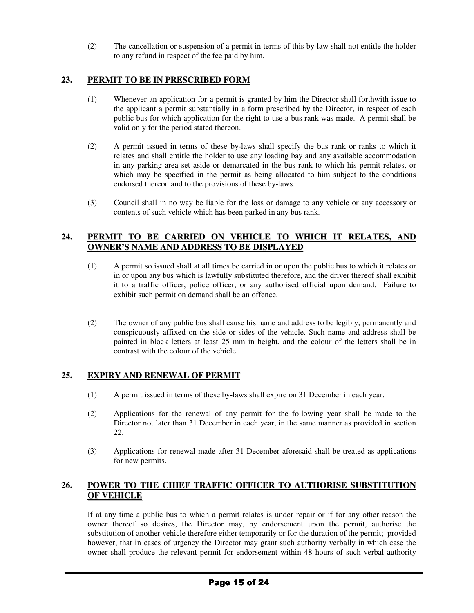(2) The cancellation or suspension of a permit in terms of this by-law shall not entitle the holder to any refund in respect of the fee paid by him.

## **23. PERMIT TO BE IN PRESCRIBED FORM**

- (1) Whenever an application for a permit is granted by him the Director shall forthwith issue to the applicant a permit substantially in a form prescribed by the Director, in respect of each public bus for which application for the right to use a bus rank was made. A permit shall be valid only for the period stated thereon.
- (2) A permit issued in terms of these by-laws shall specify the bus rank or ranks to which it relates and shall entitle the holder to use any loading bay and any available accommodation in any parking area set aside or demarcated in the bus rank to which his permit relates, or which may be specified in the permit as being allocated to him subject to the conditions endorsed thereon and to the provisions of these by-laws.
- (3) Council shall in no way be liable for the loss or damage to any vehicle or any accessory or contents of such vehicle which has been parked in any bus rank.

## **24. PERMIT TO BE CARRIED ON VEHICLE TO WHICH IT RELATES, AND OWNER'S NAME AND ADDRESS TO BE DISPLAYED**

- (1) A permit so issued shall at all times be carried in or upon the public bus to which it relates or in or upon any bus which is lawfully substituted therefore, and the driver thereof shall exhibit it to a traffic officer, police officer, or any authorised official upon demand. Failure to exhibit such permit on demand shall be an offence.
- (2) The owner of any public bus shall cause his name and address to be legibly, permanently and conspicuously affixed on the side or sides of the vehicle. Such name and address shall be painted in block letters at least 25 mm in height, and the colour of the letters shall be in contrast with the colour of the vehicle.

## **25. EXPIRY AND RENEWAL OF PERMIT**

- (1) A permit issued in terms of these by-laws shall expire on 31 December in each year.
- (2) Applications for the renewal of any permit for the following year shall be made to the Director not later than 31 December in each year, in the same manner as provided in section 22.
- (3) Applications for renewal made after 31 December aforesaid shall be treated as applications for new permits.

## **26. POWER TO THE CHIEF TRAFFIC OFFICER TO AUTHORISE SUBSTITUTION OF VEHICLE**

If at any time a public bus to which a permit relates is under repair or if for any other reason the owner thereof so desires, the Director may, by endorsement upon the permit, authorise the substitution of another vehicle therefore either temporarily or for the duration of the permit; provided however, that in cases of urgency the Director may grant such authority verbally in which case the owner shall produce the relevant permit for endorsement within 48 hours of such verbal authority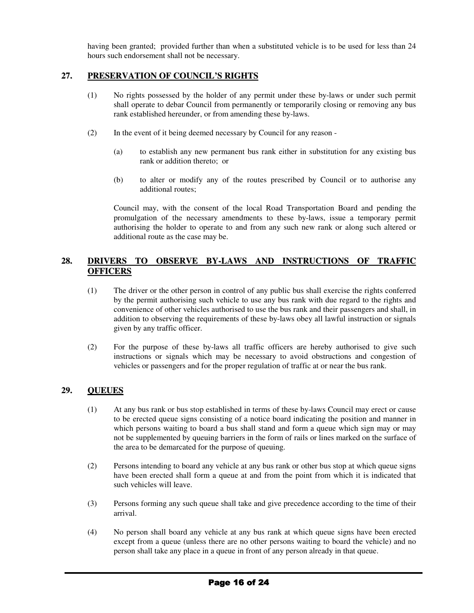having been granted; provided further than when a substituted vehicle is to be used for less than 24 hours such endorsement shall not be necessary.

## **27. PRESERVATION OF COUNCIL'S RIGHTS**

- (1) No rights possessed by the holder of any permit under these by-laws or under such permit shall operate to debar Council from permanently or temporarily closing or removing any bus rank established hereunder, or from amending these by-laws.
- (2) In the event of it being deemed necessary by Council for any reason
	- (a) to establish any new permanent bus rank either in substitution for any existing bus rank or addition thereto; or
	- (b) to alter or modify any of the routes prescribed by Council or to authorise any additional routes;

Council may, with the consent of the local Road Transportation Board and pending the promulgation of the necessary amendments to these by-laws, issue a temporary permit authorising the holder to operate to and from any such new rank or along such altered or additional route as the case may be.

## **28. DRIVERS TO OBSERVE BY-LAWS AND INSTRUCTIONS OF TRAFFIC OFFICERS**

- (1) The driver or the other person in control of any public bus shall exercise the rights conferred by the permit authorising such vehicle to use any bus rank with due regard to the rights and convenience of other vehicles authorised to use the bus rank and their passengers and shall, in addition to observing the requirements of these by-laws obey all lawful instruction or signals given by any traffic officer.
- (2) For the purpose of these by-laws all traffic officers are hereby authorised to give such instructions or signals which may be necessary to avoid obstructions and congestion of vehicles or passengers and for the proper regulation of traffic at or near the bus rank.

## **29. QUEUES**

- (1) At any bus rank or bus stop established in terms of these by-laws Council may erect or cause to be erected queue signs consisting of a notice board indicating the position and manner in which persons waiting to board a bus shall stand and form a queue which sign may or may not be supplemented by queuing barriers in the form of rails or lines marked on the surface of the area to be demarcated for the purpose of queuing.
- (2) Persons intending to board any vehicle at any bus rank or other bus stop at which queue signs have been erected shall form a queue at and from the point from which it is indicated that such vehicles will leave.
- (3) Persons forming any such queue shall take and give precedence according to the time of their arrival.
- (4) No person shall board any vehicle at any bus rank at which queue signs have been erected except from a queue (unless there are no other persons waiting to board the vehicle) and no person shall take any place in a queue in front of any person already in that queue.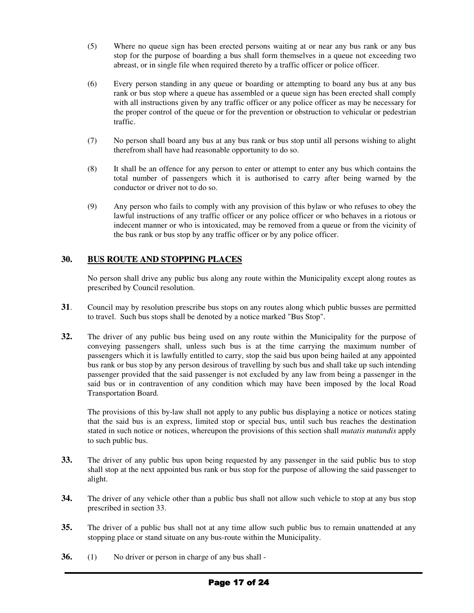- (5) Where no queue sign has been erected persons waiting at or near any bus rank or any bus stop for the purpose of boarding a bus shall form themselves in a queue not exceeding two abreast, or in single file when required thereto by a traffic officer or police officer.
- (6) Every person standing in any queue or boarding or attempting to board any bus at any bus rank or bus stop where a queue has assembled or a queue sign has been erected shall comply with all instructions given by any traffic officer or any police officer as may be necessary for the proper control of the queue or for the prevention or obstruction to vehicular or pedestrian traffic.
- (7) No person shall board any bus at any bus rank or bus stop until all persons wishing to alight therefrom shall have had reasonable opportunity to do so.
- (8) It shall be an offence for any person to enter or attempt to enter any bus which contains the total number of passengers which it is authorised to carry after being warned by the conductor or driver not to do so.
- (9) Any person who fails to comply with any provision of this bylaw or who refuses to obey the lawful instructions of any traffic officer or any police officer or who behaves in a riotous or indecent manner or who is intoxicated, may be removed from a queue or from the vicinity of the bus rank or bus stop by any traffic officer or by any police officer.

## **30. BUS ROUTE AND STOPPING PLACES**

No person shall drive any public bus along any route within the Municipality except along routes as prescribed by Council resolution.

- **31**. Council may by resolution prescribe bus stops on any routes along which public busses are permitted to travel. Such bus stops shall be denoted by a notice marked "Bus Stop".
- **32.** The driver of any public bus being used on any route within the Municipality for the purpose of conveying passengers shall, unless such bus is at the time carrying the maximum number of passengers which it is lawfully entitled to carry, stop the said bus upon being hailed at any appointed bus rank or bus stop by any person desirous of travelling by such bus and shall take up such intending passenger provided that the said passenger is not excluded by any law from being a passenger in the said bus or in contravention of any condition which may have been imposed by the local Road Transportation Board.

The provisions of this by-law shall not apply to any public bus displaying a notice or notices stating that the said bus is an express, limited stop or special bus, until such bus reaches the destination stated in such notice or notices, whereupon the provisions of this section shall *mutatis mutandis* apply to such public bus.

- **33.** The driver of any public bus upon being requested by any passenger in the said public bus to stop shall stop at the next appointed bus rank or bus stop for the purpose of allowing the said passenger to alight.
- **34.** The driver of any vehicle other than a public bus shall not allow such vehicle to stop at any bus stop prescribed in section 33.
- **35.** The driver of a public bus shall not at any time allow such public bus to remain unattended at any stopping place or stand situate on any bus-route within the Municipality.
- **36.** (1) No driver or person in charge of any bus shall -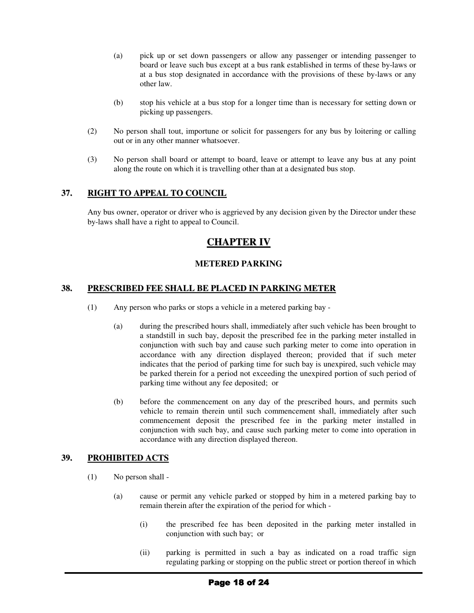- (a) pick up or set down passengers or allow any passenger or intending passenger to board or leave such bus except at a bus rank established in terms of these by-laws or at a bus stop designated in accordance with the provisions of these by-laws or any other law.
- (b) stop his vehicle at a bus stop for a longer time than is necessary for setting down or picking up passengers.
- (2) No person shall tout, importune or solicit for passengers for any bus by loitering or calling out or in any other manner whatsoever.
- (3) No person shall board or attempt to board, leave or attempt to leave any bus at any point along the route on which it is travelling other than at a designated bus stop.

## **37. RIGHT TO APPEAL TO COUNCIL**

Any bus owner, operator or driver who is aggrieved by any decision given by the Director under these by-laws shall have a right to appeal to Council.

# **CHAPTER IV**

## **METERED PARKING**

### **38. PRESCRIBED FEE SHALL BE PLACED IN PARKING METER**

- (1) Any person who parks or stops a vehicle in a metered parking bay
	- (a) during the prescribed hours shall, immediately after such vehicle has been brought to a standstill in such bay, deposit the prescribed fee in the parking meter installed in conjunction with such bay and cause such parking meter to come into operation in accordance with any direction displayed thereon; provided that if such meter indicates that the period of parking time for such bay is unexpired, such vehicle may be parked therein for a period not exceeding the unexpired portion of such period of parking time without any fee deposited; or
	- (b) before the commencement on any day of the prescribed hours, and permits such vehicle to remain therein until such commencement shall, immediately after such commencement deposit the prescribed fee in the parking meter installed in conjunction with such bay, and cause such parking meter to come into operation in accordance with any direction displayed thereon.

### **39. PROHIBITED ACTS**

- (1) No person shall
	- (a) cause or permit any vehicle parked or stopped by him in a metered parking bay to remain therein after the expiration of the period for which -
		- (i) the prescribed fee has been deposited in the parking meter installed in conjunction with such bay; or
		- (ii) parking is permitted in such a bay as indicated on a road traffic sign regulating parking or stopping on the public street or portion thereof in which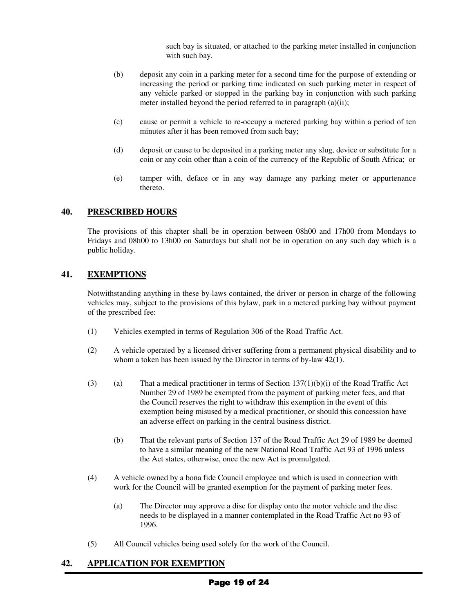such bay is situated, or attached to the parking meter installed in conjunction with such bay.

- (b) deposit any coin in a parking meter for a second time for the purpose of extending or increasing the period or parking time indicated on such parking meter in respect of any vehicle parked or stopped in the parking bay in conjunction with such parking meter installed beyond the period referred to in paragraph (a)(ii);
- (c) cause or permit a vehicle to re-occupy a metered parking bay within a period of ten minutes after it has been removed from such bay;
- (d) deposit or cause to be deposited in a parking meter any slug, device or substitute for a coin or any coin other than a coin of the currency of the Republic of South Africa; or
- (e) tamper with, deface or in any way damage any parking meter or appurtenance thereto.

### **40. PRESCRIBED HOURS**

The provisions of this chapter shall be in operation between 08h00 and 17h00 from Mondays to Fridays and 08h00 to 13h00 on Saturdays but shall not be in operation on any such day which is a public holiday.

### **41. EXEMPTIONS**

Notwithstanding anything in these by-laws contained, the driver or person in charge of the following vehicles may, subject to the provisions of this bylaw, park in a metered parking bay without payment of the prescribed fee:

- (1) Vehicles exempted in terms of Regulation 306 of the Road Traffic Act.
- (2) A vehicle operated by a licensed driver suffering from a permanent physical disability and to whom a token has been issued by the Director in terms of by-law 42(1).
- (3) (a) That a medical practitioner in terms of Section  $137(1)(b)(i)$  of the Road Traffic Act Number 29 of 1989 be exempted from the payment of parking meter fees, and that the Council reserves the right to withdraw this exemption in the event of this exemption being misused by a medical practitioner, or should this concession have an adverse effect on parking in the central business district.
	- (b) That the relevant parts of Section 137 of the Road Traffic Act 29 of 1989 be deemed to have a similar meaning of the new National Road Traffic Act 93 of 1996 unless the Act states, otherwise, once the new Act is promulgated.
- (4) A vehicle owned by a bona fide Council employee and which is used in connection with work for the Council will be granted exemption for the payment of parking meter fees.
	- (a) The Director may approve a disc for display onto the motor vehicle and the disc needs to be displayed in a manner contemplated in the Road Traffic Act no 93 of 1996.
- (5) All Council vehicles being used solely for the work of the Council.

### **42. APPLICATION FOR EXEMPTION**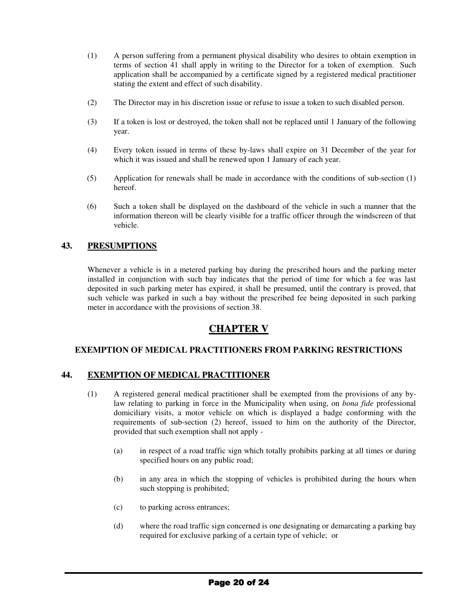- (1) A person suffering from a permanent physical disability who desires to obtain exemption in terms of section 41 shall apply in writing to the Director for a token of exemption. Such application shall be accompanied by a certificate signed by a registered medical practitioner stating the extent and effect of such disability.
- (2) The Director may in his discretion issue or refuse to issue a token to such disabled person.
- (3) If a token is lost or destroyed, the token shall not be replaced until 1 January of the following year.
- (4) Every token issued in terms of these by-laws shall expire on 31 December of the year for which it was issued and shall be renewed upon 1 January of each year.
- (5) Application for renewals shall be made in accordance with the conditions of sub-section (1) hereof.
- (6) Such a token shall be displayed on the dashboard of the vehicle in such a manner that the information thereon will be clearly visible for a traffic officer through the windscreen of that vehicle.

## **43. PRESUMPTIONS**

Whenever a vehicle is in a metered parking bay during the prescribed hours and the parking meter installed in conjunction with such bay indicates that the period of time for which a fee was last deposited in such parking meter has expired, it shall be presumed, until the contrary is proved, that such vehicle was parked in such a bay without the prescribed fee being deposited in such parking meter in accordance with the provisions of section 38.

# **CHAPTER V**

### **EXEMPTION OF MEDICAL PRACTITIONERS FROM PARKING RESTRICTIONS**

### **44. EXEMPTION OF MEDICAL PRACTITIONER**

- (1) A registered general medical practitioner shall be exempted from the provisions of any bylaw relating to parking in force in the Municipality when using, on *bona fide* professional domiciliary visits, a motor vehicle on which is displayed a badge conforming with the requirements of sub-section (2) hereof, issued to him on the authority of the Director, provided that such exemption shall not apply -
	- (a) in respect of a road traffic sign which totally prohibits parking at all times or during specified hours on any public road;
	- (b) in any area in which the stopping of vehicles is prohibited during the hours when such stopping is prohibited;
	- (c) to parking across entrances;
	- (d) where the road traffic sign concerned is one designating or demarcating a parking bay required for exclusive parking of a certain type of vehicle; or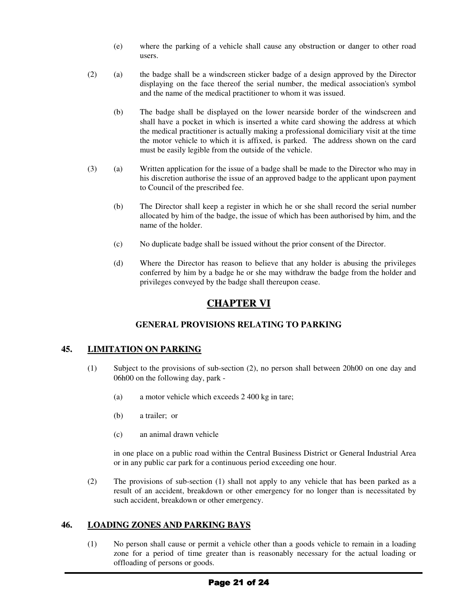- (e) where the parking of a vehicle shall cause any obstruction or danger to other road users.
- (2) (a) the badge shall be a windscreen sticker badge of a design approved by the Director displaying on the face thereof the serial number, the medical association's symbol and the name of the medical practitioner to whom it was issued.
	- (b) The badge shall be displayed on the lower nearside border of the windscreen and shall have a pocket in which is inserted a white card showing the address at which the medical practitioner is actually making a professional domiciliary visit at the time the motor vehicle to which it is affixed, is parked. The address shown on the card must be easily legible from the outside of the vehicle.
- (3) (a) Written application for the issue of a badge shall be made to the Director who may in his discretion authorise the issue of an approved badge to the applicant upon payment to Council of the prescribed fee.
	- (b) The Director shall keep a register in which he or she shall record the serial number allocated by him of the badge, the issue of which has been authorised by him, and the name of the holder.
	- (c) No duplicate badge shall be issued without the prior consent of the Director.
	- (d) Where the Director has reason to believe that any holder is abusing the privileges conferred by him by a badge he or she may withdraw the badge from the holder and privileges conveyed by the badge shall thereupon cease.

# **CHAPTER VI**

## **GENERAL PROVISIONS RELATING TO PARKING**

### **45. LIMITATION ON PARKING**

- (1) Subject to the provisions of sub-section (2), no person shall between 20h00 on one day and 06h00 on the following day, park -
	- (a) a motor vehicle which exceeds 2 400 kg in tare;
	- (b) a trailer; or
	- (c) an animal drawn vehicle

in one place on a public road within the Central Business District or General Industrial Area or in any public car park for a continuous period exceeding one hour.

(2) The provisions of sub-section (1) shall not apply to any vehicle that has been parked as a result of an accident, breakdown or other emergency for no longer than is necessitated by such accident, breakdown or other emergency.

### **46. LOADING ZONES AND PARKING BAYS**

(1) No person shall cause or permit a vehicle other than a goods vehicle to remain in a loading zone for a period of time greater than is reasonably necessary for the actual loading or offloading of persons or goods.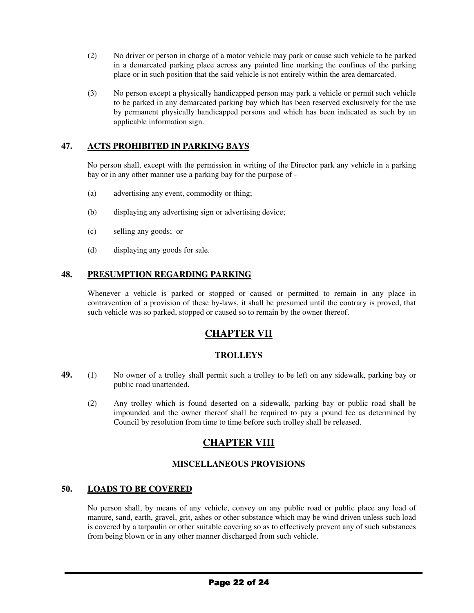- (2) No driver or person in charge of a motor vehicle may park or cause such vehicle to be parked in a demarcated parking place across any painted line marking the confines of the parking place or in such position that the said vehicle is not entirely within the area demarcated.
- (3) No person except a physically handicapped person may park a vehicle or permit such vehicle to be parked in any demarcated parking bay which has been reserved exclusively for the use by permanent physically handicapped persons and which has been indicated as such by an applicable information sign.

## **47. ACTS PROHIBITED IN PARKING BAYS**

No person shall, except with the permission in writing of the Director park any vehicle in a parking bay or in any other manner use a parking bay for the purpose of -

- (a) advertising any event, commodity or thing;
- (b) displaying any advertising sign or advertising device;
- (c) selling any goods; or
- (d) displaying any goods for sale.

## **48. PRESUMPTION REGARDING PARKING**

Whenever a vehicle is parked or stopped or caused or permitted to remain in any place in contravention of a provision of these by-laws, it shall be presumed until the contrary is proved, that such vehicle was so parked, stopped or caused so to remain by the owner thereof.

# **CHAPTER VII**

### **TROLLEYS**

- **49.** (1) No owner of a trolley shall permit such a trolley to be left on any sidewalk, parking bay or public road unattended.
	- (2) Any trolley which is found deserted on a sidewalk, parking bay or public road shall be impounded and the owner thereof shall be required to pay a pound fee as determined by Council by resolution from time to time before such trolley shall be released.

# **CHAPTER VIII**

### **MISCELLANEOUS PROVISIONS**

### **50. LOADS TO BE COVERED**

No person shall, by means of any vehicle, convey on any public road or public place any load of manure, sand, earth, gravel, grit, ashes or other substance which may be wind driven unless such load is covered by a tarpaulin or other suitable covering so as to effectively prevent any of such substances from being blown or in any other manner discharged from such vehicle.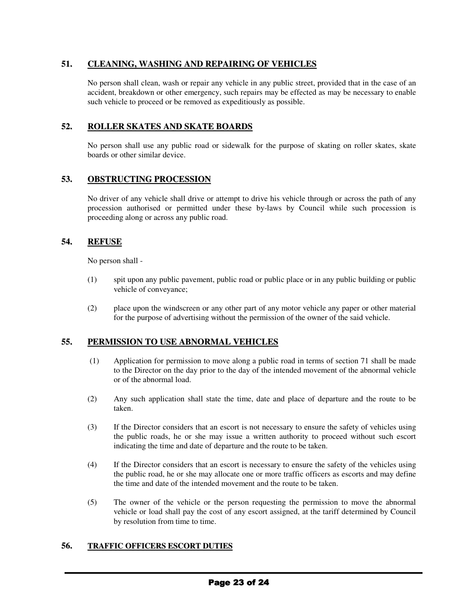## **51. CLEANING, WASHING AND REPAIRING OF VEHICLES**

No person shall clean, wash or repair any vehicle in any public street, provided that in the case of an accident, breakdown or other emergency, such repairs may be effected as may be necessary to enable such vehicle to proceed or be removed as expeditiously as possible.

## **52. ROLLER SKATES AND SKATE BOARDS**

No person shall use any public road or sidewalk for the purpose of skating on roller skates, skate boards or other similar device.

## **53. OBSTRUCTING PROCESSION**

No driver of any vehicle shall drive or attempt to drive his vehicle through or across the path of any procession authorised or permitted under these by-laws by Council while such procession is proceeding along or across any public road.

## **54. REFUSE**

No person shall -

- (1) spit upon any public pavement, public road or public place or in any public building or public vehicle of conveyance;
- (2) place upon the windscreen or any other part of any motor vehicle any paper or other material for the purpose of advertising without the permission of the owner of the said vehicle.

## **55. PERMISSION TO USE ABNORMAL VEHICLES**

- (1) Application for permission to move along a public road in terms of section 71 shall be made to the Director on the day prior to the day of the intended movement of the abnormal vehicle or of the abnormal load.
- (2) Any such application shall state the time, date and place of departure and the route to be taken.
- (3) If the Director considers that an escort is not necessary to ensure the safety of vehicles using the public roads, he or she may issue a written authority to proceed without such escort indicating the time and date of departure and the route to be taken.
- (4) If the Director considers that an escort is necessary to ensure the safety of the vehicles using the public road, he or she may allocate one or more traffic officers as escorts and may define the time and date of the intended movement and the route to be taken.
- (5) The owner of the vehicle or the person requesting the permission to move the abnormal vehicle or load shall pay the cost of any escort assigned, at the tariff determined by Council by resolution from time to time.

### **56. TRAFFIC OFFICERS ESCORT DUTIES**